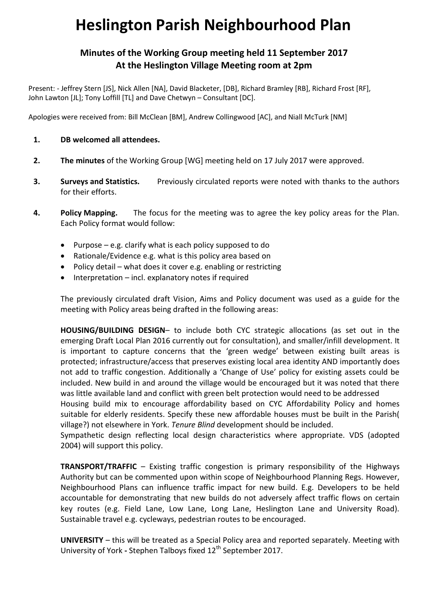# **Heslington Parish Neighbourhood Plan**

## **Minutes of the Working Group meeting held 11 September 2017 At the Heslington Village Meeting room at 2pm**

Present: - Jeffrey Stern [JS], Nick Allen [NA], David Blacketer, [DB], Richard Bramley [RB], Richard Frost [RF], John Lawton [JL]; Tony Loffill [TL] and Dave Chetwyn – Consultant [DC].

Apologies were received from: Bill McClean [BM], Andrew Collingwood [AC], and Niall McTurk [NM]

- **1. DB welcomed all attendees.**
- **2. The minutes** of the Working Group [WG] meeting held on 17 July 2017 were approved.
- **3. Surveys and Statistics.** Previously circulated reports were noted with thanks to the authors for their efforts.
- **4. Policy Mapping.** The focus for the meeting was to agree the key policy areas for the Plan. Each Policy format would follow:
	- Purpose e.g. clarify what is each policy supposed to do
	- Rationale/Evidence e.g. what is this policy area based on
	- Policy detail what does it cover e.g. enabling or restricting
	- Interpretation incl. explanatory notes if required

The previously circulated draft Vision, Aims and Policy document was used as a guide for the meeting with Policy areas being drafted in the following areas:

**HOUSING/BUILDING DESIGN**– to include both CYC strategic allocations (as set out in the emerging Draft Local Plan 2016 currently out for consultation), and smaller/infill development. It is important to capture concerns that the 'green wedge' between existing built areas is protected; infrastructure/access that preserves existing local area identity AND importantly does not add to traffic congestion. Additionally a 'Change of Use' policy for existing assets could be included. New build in and around the village would be encouraged but it was noted that there was little available land and conflict with green belt protection would need to be addressed

Housing build mix to encourage affordability based on CYC Affordability Policy and homes suitable for elderly residents. Specify these new affordable houses must be built in the Parish( village?) not elsewhere in York. *Tenure Blind* development should be included.

Sympathetic design reflecting local design characteristics where appropriate. VDS (adopted 2004) will support this policy.

**TRANSPORT/TRAFFIC** – Existing traffic congestion is primary responsibility of the Highways Authority but can be commented upon within scope of Neighbourhood Planning Regs. However, Neighbourhood Plans can influence traffic impact for new build. E.g. Developers to be held accountable for demonstrating that new builds do not adversely affect traffic flows on certain key routes (e.g. Field Lane, Low Lane, Long Lane, Heslington Lane and University Road). Sustainable travel e.g. cycleways, pedestrian routes to be encouraged.

**UNIVERSITY** – this will be treated as a Special Policy area and reported separately. Meeting with University of York - Stephen Talboys fixed 12<sup>th</sup> September 2017.